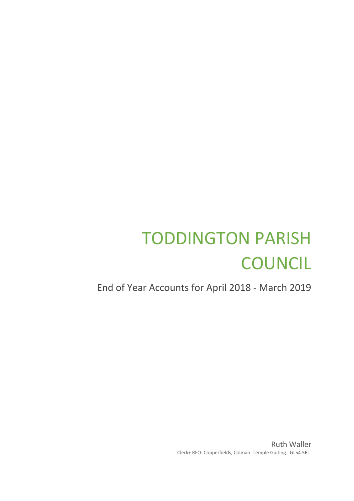# TODDINGTON PARISH **COUNCIL**

End of Year Accounts for April 2018 - March 2019

Ruth Waller Clerk+ RFO: Copperfields, Colman. Temple Guiting.. GL54 5RT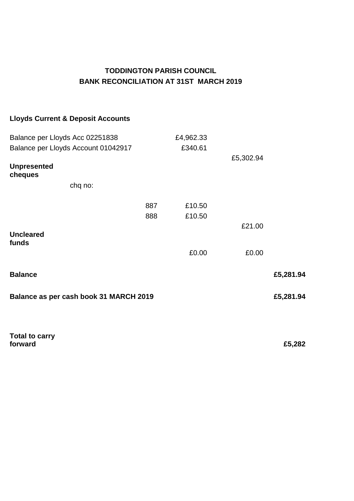# **TODDINGTON PARISH COUNCIL BANK RECONCILIATION AT 31ST MARCH 2019**

## **Lloyds Current & Deposit Accounts**

|                                        | £4,962.33  |                  |           |  |  |
|----------------------------------------|------------|------------------|-----------|--|--|
|                                        | £340.61    |                  |           |  |  |
|                                        |            | £5,302.94        |           |  |  |
|                                        |            |                  |           |  |  |
|                                        |            |                  |           |  |  |
|                                        |            |                  |           |  |  |
|                                        |            |                  |           |  |  |
|                                        |            | £21.00           |           |  |  |
|                                        |            |                  |           |  |  |
|                                        | £0.00      | £0.00            |           |  |  |
|                                        |            |                  | £5,281.94 |  |  |
| Balance as per cash book 31 MARCH 2019 |            |                  |           |  |  |
|                                        |            |                  |           |  |  |
|                                        | 887<br>888 | £10.50<br>£10.50 |           |  |  |

**Total to carry forward £5,282**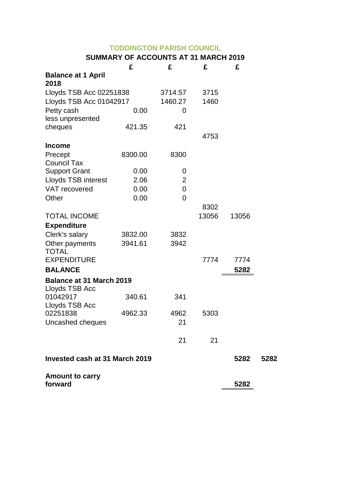## **TODDINGTON PARISH COUNCIL**

## **SUMMARY OF ACCOUNTS AT 31 MARCH 2019**

|                                   | £       | £              | £     | £     |      |
|-----------------------------------|---------|----------------|-------|-------|------|
| <b>Balance at 1 April</b>         |         |                |       |       |      |
| 2018                              |         |                |       |       |      |
| Lloyds TSB Acc 02251838           |         | 3714.57        | 3715  |       |      |
| Lloyds TSB Acc 01042917           |         | 1460.27        | 1460  |       |      |
| Petty cash                        | 0.00    | 0              |       |       |      |
| less unpresented                  |         |                |       |       |      |
| cheques                           | 421.35  | 421            |       |       |      |
|                                   |         |                | 4753  |       |      |
| <b>Income</b>                     |         |                |       |       |      |
| Precept                           | 8300.00 | 8300           |       |       |      |
| <b>Council Tax</b>                |         |                |       |       |      |
| <b>Support Grant</b>              | 0.00    | 0              |       |       |      |
| <b>Lloyds TSB interest</b>        | 2.06    | $\overline{2}$ |       |       |      |
| VAT recovered                     | 0.00    | 0              |       |       |      |
| Other                             | 0.00    | $\overline{0}$ |       |       |      |
|                                   |         |                | 8302  |       |      |
| <b>TOTAL INCOME</b>               |         |                | 13056 | 13056 |      |
| <b>Expenditure</b>                |         |                |       |       |      |
| Clerk's salary                    | 3832.00 | 3832           |       |       |      |
| Other payments                    | 3941.61 | 3942           |       |       |      |
| <b>TOTAL</b>                      |         |                |       |       |      |
| <b>EXPENDITURE</b>                |         |                | 7774  | 7774  |      |
| <b>BALANCE</b>                    |         |                |       | 5282  |      |
| <b>Balance at 31 March 2019</b>   |         |                |       |       |      |
| Lloyds TSB Acc                    |         |                |       |       |      |
| 01042917                          | 340.61  | 341            |       |       |      |
| Lloyds TSB Acc                    |         |                |       |       |      |
| 02251838                          | 4962.33 | 4962           | 5303  |       |      |
| Uncashed cheques                  |         | 21             |       |       |      |
|                                   |         |                |       |       |      |
|                                   |         | 21             | 21    |       |      |
| Invested cash at 31 March 2019    |         |                |       | 5282  | 5282 |
| <b>Amount to carry</b><br>forward |         |                |       | 5282  |      |